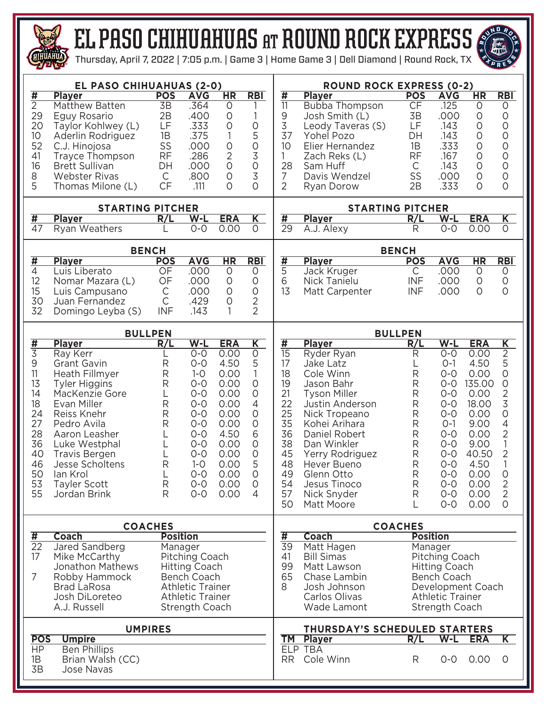

## el paso CHIHUAHUAS at round rock EXPRESS



Thursday, April 7, 2022 | 7:05 p.m. | Game 3 | Home Game 3 | Dell Diamond | Round Rock, TX

| EL PASO CHIHUAHUAS (2-0)                                                                                                                                                                                                                                                                                                                                                     |                                                                               |                                                                                                                                                                                                                                                                                                                                                                                                                                           |                                                                                                                      | <b>ROUND ROCK EXPRESS (0-2)</b>                                                                                                                            |                                                                                                           |                                                                                                                                                                                                                                                             |                                                                         |                                                                                                                                                                      |                                                                                                                                  |                                                                                                                                                                                   |  |  |  |  |  |  |
|------------------------------------------------------------------------------------------------------------------------------------------------------------------------------------------------------------------------------------------------------------------------------------------------------------------------------------------------------------------------------|-------------------------------------------------------------------------------|-------------------------------------------------------------------------------------------------------------------------------------------------------------------------------------------------------------------------------------------------------------------------------------------------------------------------------------------------------------------------------------------------------------------------------------------|----------------------------------------------------------------------------------------------------------------------|------------------------------------------------------------------------------------------------------------------------------------------------------------|-----------------------------------------------------------------------------------------------------------|-------------------------------------------------------------------------------------------------------------------------------------------------------------------------------------------------------------------------------------------------------------|-------------------------------------------------------------------------|----------------------------------------------------------------------------------------------------------------------------------------------------------------------|----------------------------------------------------------------------------------------------------------------------------------|-----------------------------------------------------------------------------------------------------------------------------------------------------------------------------------|--|--|--|--|--|--|
| #<br><b>Player</b><br>$\overline{2}$<br>Matthew Batten<br>29<br>Eguy Rosario<br>20<br>Taylor Kohlwey (L)<br>10<br>Aderlin Rodriguez<br>52<br>C.J. Hinojosa<br>41<br><b>Trayce Thompson</b><br>16<br><b>Brett Sullivan</b><br>8<br><b>Webster Rivas</b><br>5<br>Thomas Milone (L)                                                                                             | <b>POS</b><br>3B<br>2B<br>LF<br>1B<br>SS<br><b>RF</b><br>DH<br>C<br><b>CF</b> | <b>AVG</b><br>.364<br>.400<br>.333<br>.375<br>.000<br>.286<br>.000<br>.800<br>.111                                                                                                                                                                                                                                                                                                                                                        | HR<br>$\circ$<br>$\circ$<br>$\circ$<br>1<br>$\circ$<br>2<br>$\overline{O}$<br>$\circ$<br>$\Omega$                    | <b>RBI</b><br>$\circ$<br>5<br>$\circ$<br>3<br>$\circ$<br>3<br>$\Omega$                                                                                     | <u>#</u><br>$\overline{11}$<br>9<br>3<br>37<br>10<br>1<br>28<br>7<br>$\overline{2}$                       | <b>Player</b><br><b>Bubba Thompson</b><br>Josh Smith (L)<br>Leody Taveras (S)<br>Yohel Pozo<br>Elier Hernandez<br>Zach Reks (L)<br>Sam Huff<br>Davis Wendzel<br>Ryan Dorow                                                                                  | <b>POS</b><br><b>CF</b><br>3B<br>LF<br>DH<br>1B<br>RF<br>C<br>SS<br>2B  | <b>AVG</b><br>.125<br>.000<br>.143<br>.143<br>.333<br>.167<br>.143<br>.000<br>.333                                                                                   | HR<br>$\circ$<br>$\circ$<br>0<br>$\circ$<br>$\circ$<br>$\circ$<br>$\circ$<br>$\circ$<br>$\circ$                                  | <b>RBI</b><br>0<br>$\circ$<br>$\bigcirc$<br>$\mathsf O$<br>$\circ$<br>$\bigcirc$<br>$\circ$<br>$\circ$<br>$\circ$                                                                 |  |  |  |  |  |  |
| <b>STARTING PITCHER</b>                                                                                                                                                                                                                                                                                                                                                      |                                                                               |                                                                                                                                                                                                                                                                                                                                                                                                                                           |                                                                                                                      | <b>STARTING PITCHER</b>                                                                                                                                    |                                                                                                           |                                                                                                                                                                                                                                                             |                                                                         |                                                                                                                                                                      |                                                                                                                                  |                                                                                                                                                                                   |  |  |  |  |  |  |
| #<br><b>Player</b><br>$\overline{47}$<br>Ryan Weathers                                                                                                                                                                                                                                                                                                                       | R/L                                                                           | W-L<br>$0 - 0$                                                                                                                                                                                                                                                                                                                                                                                                                            | <b>ERA</b><br>0.00                                                                                                   | $\overline{\mathsf{K}}$<br>$\Omega$                                                                                                                        | #<br>$\overline{29}$                                                                                      | <b>Player</b><br>A.J. Alexy                                                                                                                                                                                                                                 | R/L<br>R                                                                | $W-L$<br>$\overline{O}$ -O                                                                                                                                           | <b>ERA</b><br>0.00                                                                                                               | $\overline{\mathsf{K}}$<br>$\overline{0}$                                                                                                                                         |  |  |  |  |  |  |
|                                                                                                                                                                                                                                                                                                                                                                              |                                                                               |                                                                                                                                                                                                                                                                                                                                                                                                                                           |                                                                                                                      |                                                                                                                                                            |                                                                                                           |                                                                                                                                                                                                                                                             |                                                                         |                                                                                                                                                                      |                                                                                                                                  |                                                                                                                                                                                   |  |  |  |  |  |  |
| #<br><b>Player</b>                                                                                                                                                                                                                                                                                                                                                           | <b>BENCH</b><br><b>POS</b>                                                    | <b>AVG</b>                                                                                                                                                                                                                                                                                                                                                                                                                                | $\overline{\text{HR}}$                                                                                               |                                                                                                                                                            | <b>Player</b>                                                                                             | <b>BENCH</b><br><b>POS</b>                                                                                                                                                                                                                                  | <b>AVG</b>                                                              | $\overline{\text{HR}}$                                                                                                                                               | <b>RBI</b>                                                                                                                       |                                                                                                                                                                                   |  |  |  |  |  |  |
| $\overline{4}$<br>Luis Liberato<br>12<br>Nomar Mazara (L)<br>15<br>Luis Campusano<br>30<br>Juan Fernandez<br>32<br>Domingo Leyba (S)                                                                                                                                                                                                                                         | OF<br>OF<br>$\mathsf C$<br>$\mathsf{C}$<br><b>INF</b>                         | .000<br>.000<br>.000<br>.429<br>.143                                                                                                                                                                                                                                                                                                                                                                                                      | 0<br>$\circ$<br>$\circ$<br>$\circ$<br>1                                                                              | R <sub>B</sub><br>O<br>$\circ$<br>$\circ$<br>$\overline{2}$<br>$\overline{2}$                                                                              | $\frac{1}{4}$<br>6<br>13                                                                                  | Jack Kruger<br>Nick Tanielu<br>Matt Carpenter                                                                                                                                                                                                               | C<br><b>INF</b><br><b>INF</b>                                           | .000<br>.000<br>.000                                                                                                                                                 | $\circ$<br>$\circ$<br>$\circ$                                                                                                    | 0<br>$\circ$<br>$\circ$                                                                                                                                                           |  |  |  |  |  |  |
|                                                                                                                                                                                                                                                                                                                                                                              | <b>BULLPEN</b>                                                                |                                                                                                                                                                                                                                                                                                                                                                                                                                           |                                                                                                                      | <b>BULLPEN</b>                                                                                                                                             |                                                                                                           |                                                                                                                                                                                                                                                             |                                                                         |                                                                                                                                                                      |                                                                                                                                  |                                                                                                                                                                                   |  |  |  |  |  |  |
| <u>#</u><br><b>Player</b>                                                                                                                                                                                                                                                                                                                                                    | R/L                                                                           | $W-L$                                                                                                                                                                                                                                                                                                                                                                                                                                     | <b>ERA</b>                                                                                                           | $\overline{\mathsf{K}}$                                                                                                                                    | #                                                                                                         | <b>Player</b>                                                                                                                                                                                                                                               | R/L                                                                     | $W-L$                                                                                                                                                                | <b>ERA</b>                                                                                                                       | $\overline{\mathsf{K}}$                                                                                                                                                           |  |  |  |  |  |  |
| $\overline{3}$<br>Ray Kerr<br>9<br><b>Grant Gavin</b><br>11<br>Heath Fillmyer<br>13<br><b>Tyler Higgins</b><br>14<br>MacKenzie Gore<br>18<br>Evan Miller<br>24<br>Reiss Knehr<br>27<br>Pedro Avila<br>28<br>Aaron Leasher<br>36<br>Luke Westphal<br>40<br><b>Travis Bergen</b><br>46<br>Jesse Scholtens<br>50<br>lan Krol<br>53<br><b>Tayler Scott</b><br>55<br>Jordan Brink | R<br>R<br>R<br>L<br>R<br>$\mathsf{R}$<br>R<br>R<br>R<br>R                     | $0 - 0$<br>$O-O$<br>$1 - 0$<br>$O-O$<br>$0 - 0$<br>$0 - 0$<br>$0 - 0$<br>$0 - 0$<br>$0 - 0$<br>$0 - 0$<br>$0 - 0$<br>$1 - 0$<br>$0 - 0$<br>$O-O$<br>$O-O$                                                                                                                                                                                                                                                                                 | 0.00<br>4.50<br>0.00<br>0.00<br>0.00<br>0.00<br>0.00<br>0.00<br>4.50<br>0.00<br>0.00<br>0.00<br>0.00<br>0.00<br>0.00 | $\circ$<br>5<br>$\circ$<br>$\circ$<br>$\overline{4}$<br>$\circ$<br>$\circ$<br>6<br>$\circ$<br>$\overline{O}$<br>5<br>$\Omega$<br>$\circ$<br>$\overline{4}$ | $\overline{15}$<br>17<br>18<br>19<br>21<br>22<br>25<br>35<br>36<br>38<br>45<br>48<br>49<br>54<br>57<br>50 | Ryder Ryan<br>Jake Latz<br>Cole Winn<br>Jason Bahr<br><b>Tyson Miller</b><br>Justin Anderson<br>Nick Tropeano<br>Kohei Arihara<br>Daniel Robert<br>Dan Winkler<br>Yerry Rodriguez<br>Hever Bueno<br>Glenn Otto<br>Jesus Tinoco<br>Nick Snyder<br>Matt Moore | R<br>R<br>R<br>R<br>R<br>R<br>R<br>R<br>R<br>R<br>R<br>R<br>R<br>R<br>L | $0 - 0$<br>$O-1$<br>$0 - 0$<br>$0 - 0$<br>$0 - 0$<br>$0 - 0$<br>$0 - 0$<br>$O-1$<br>$0 - 0$<br>$0 - 0$<br>$0 - 0$<br>$0 - 0$<br>$0 - 0$<br>$0 - 0$<br>$O-O$<br>$O-O$ | 0.00<br>4.50<br>0.00<br>135.00<br>0.00<br>18.00<br>0.00<br>9.00<br>0.00<br>9.00<br>40.50<br>4.50<br>0.00<br>0.00<br>0.00<br>0.00 | $\overline{2}$<br>5<br>$\mathsf O$<br>0<br>$\mathbf{2}$<br>3<br>$\hbox{O}$<br>$\overline{4}$<br>$\overline{2}$<br>1<br>2<br>1<br>0<br>$\overline{2}$<br>$\overline{2}$<br>$\circ$ |  |  |  |  |  |  |
| <b>Coach</b>                                                                                                                                                                                                                                                                                                                                                                 | <b>COACHES</b><br><b>Position</b>                                             |                                                                                                                                                                                                                                                                                                                                                                                                                                           |                                                                                                                      |                                                                                                                                                            | <b>COACHES</b>                                                                                            |                                                                                                                                                                                                                                                             |                                                                         |                                                                                                                                                                      |                                                                                                                                  |                                                                                                                                                                                   |  |  |  |  |  |  |
| $\overline{\boldsymbol{\mathsf{H}}}$<br>$\overline{22}$<br>Jared Sandberg<br>17<br>Mike McCarthy<br><b>Jonathon Mathews</b><br>7<br>Robby Hammock<br><b>Brad LaRosa</b><br>Josh DiLoreteo<br>A.J. Russell<br><b>UMPIRES</b><br><b>POS</b><br><b>Umpire</b><br><b>HP</b><br><b>Ben Phillips</b><br>1B<br>Brian Walsh (CC)<br>3B<br><b>Jose Navas</b>                          | $\frac{1}{39}$<br>41<br>99<br>65<br>8<br><b>RR</b>                            | <b>Coach</b><br><b>Position</b><br>Matt Hagen<br>Manager<br><b>Bill Simas</b><br>Pitching Coach<br>Matt Lawson<br><b>Hitting Coach</b><br>Chase Lambin<br>Bench Coach<br>Josh Johnson<br>Development Coach<br>Carlos Olivas<br><b>Athletic Trainer</b><br>Wade Lamont<br><b>Strength Coach</b><br>THURSDAY'S SCHEDULED STARTERS<br>R/L<br>$W-L$<br><b>Player</b><br><b>ERA</b><br><b>TM</b><br>ELP TBA<br>Cole Winn<br>$0-0$<br>0.00<br>R |                                                                                                                      |                                                                                                                                                            |                                                                                                           |                                                                                                                                                                                                                                                             |                                                                         |                                                                                                                                                                      |                                                                                                                                  |                                                                                                                                                                                   |  |  |  |  |  |  |